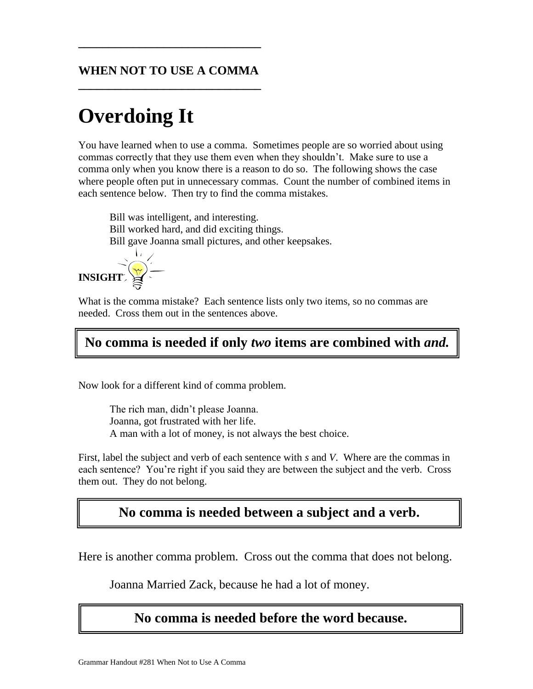#### **WHEN NOT TO USE A COMMA \_\_\_\_\_\_\_\_\_\_\_\_\_\_\_\_\_\_\_\_\_\_\_\_\_\_\_\_\_\_**

**\_\_\_\_\_\_\_\_\_\_\_\_\_\_\_\_\_\_\_\_\_\_\_\_\_\_\_\_\_\_**

# **Overdoing It**

You have learned when to use a comma. Sometimes people are so worried about using commas correctly that they use them even when they shouldn't. Make sure to use a comma only when you know there is a reason to do so. The following shows the case where people often put in unnecessary commas. Count the number of combined items in each sentence below. Then try to find the comma mistakes.

Bill was intelligent, and interesting. Bill worked hard, and did exciting things. Bill gave Joanna small pictures, and other keepsakes.



What is the comma mistake? Each sentence lists only two items, so no commas are needed. Cross them out in the sentences above.

## **No comma is needed if only** *two* **items are combined with** *and.*

Now look for a different kind of comma problem.

The rich man, didn't please Joanna. Joanna, got frustrated with her life. A man with a lot of money, is not always the best choice.

First, label the subject and verb of each sentence with *s* and *V*. Where are the commas in each sentence? You're right if you said they are between the subject and the verb. Cross them out. They do not belong.

#### **No comma is needed between a subject and a verb.**

Here is another comma problem. Cross out the comma that does not belong.

Joanna Married Zack, because he had a lot of money.

#### **No comma is needed before the word because.**